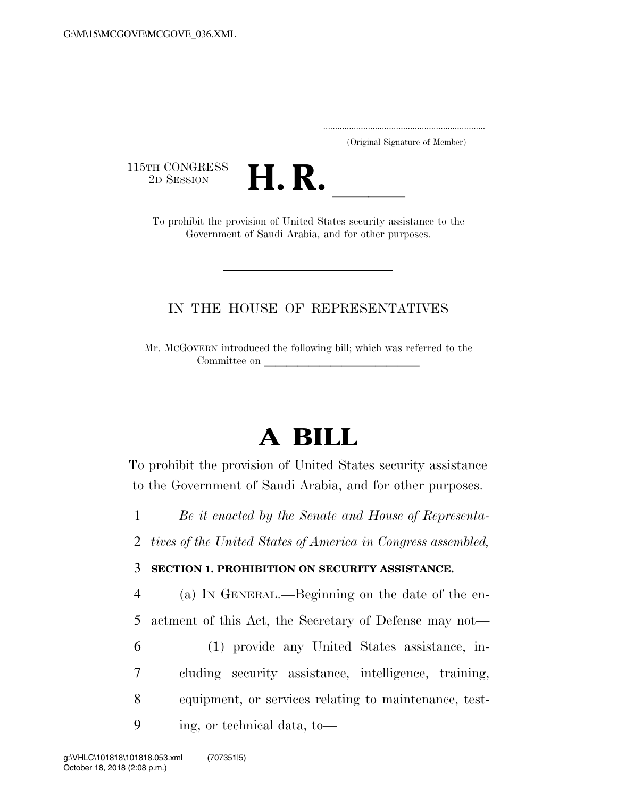..................................................................... (Original Signature of Member)

 $\begin{array}{c} \textbf{115TH CONGRESS} \\ \textbf{2D} \textbf{Session} \end{array}$ 



TH CONGRESS<br>
2D SESSION<br>
To prohibit the provision of United States security assistance to the Government of Saudi Arabia, and for other purposes.

## IN THE HOUSE OF REPRESENTATIVES

Mr. MCGOVERN introduced the following bill; which was referred to the Committee on

## **A BILL**

To prohibit the provision of United States security assistance to the Government of Saudi Arabia, and for other purposes.

1 *Be it enacted by the Senate and House of Representa-*

2 *tives of the United States of America in Congress assembled,* 

3 **SECTION 1. PROHIBITION ON SECURITY ASSISTANCE.** 

4 (a) IN GENERAL.—Beginning on the date of the en-5 actment of this Act, the Secretary of Defense may not—

6 (1) provide any United States assistance, in-7 cluding security assistance, intelligence, training, 8 equipment, or services relating to maintenance, test-

9 ing, or technical data, to—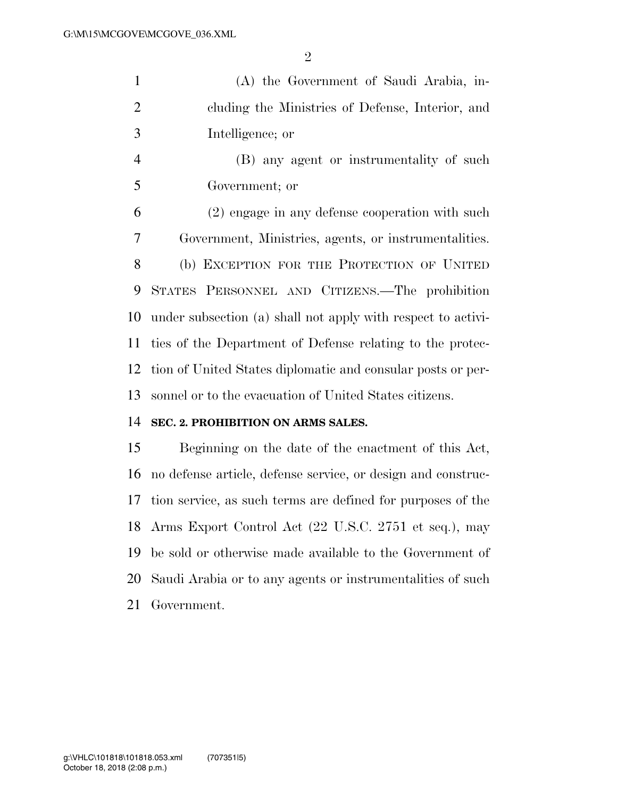(A) the Government of Saudi Arabia, in- cluding the Ministries of Defense, Interior, and Intelligence; or

 (B) any agent or instrumentality of such Government; or

 (2) engage in any defense cooperation with such Government, Ministries, agents, or instrumentalities. (b) EXCEPTION FOR THE PROTECTION OF UNITED STATES PERSONNEL AND CITIZENS.—The prohibition under subsection (a) shall not apply with respect to activi- ties of the Department of Defense relating to the protec- tion of United States diplomatic and consular posts or per-sonnel or to the evacuation of United States citizens.

## **SEC. 2. PROHIBITION ON ARMS SALES.**

 Beginning on the date of the enactment of this Act, no defense article, defense service, or design and construc- tion service, as such terms are defined for purposes of the Arms Export Control Act (22 U.S.C. 2751 et seq.), may be sold or otherwise made available to the Government of Saudi Arabia or to any agents or instrumentalities of such Government.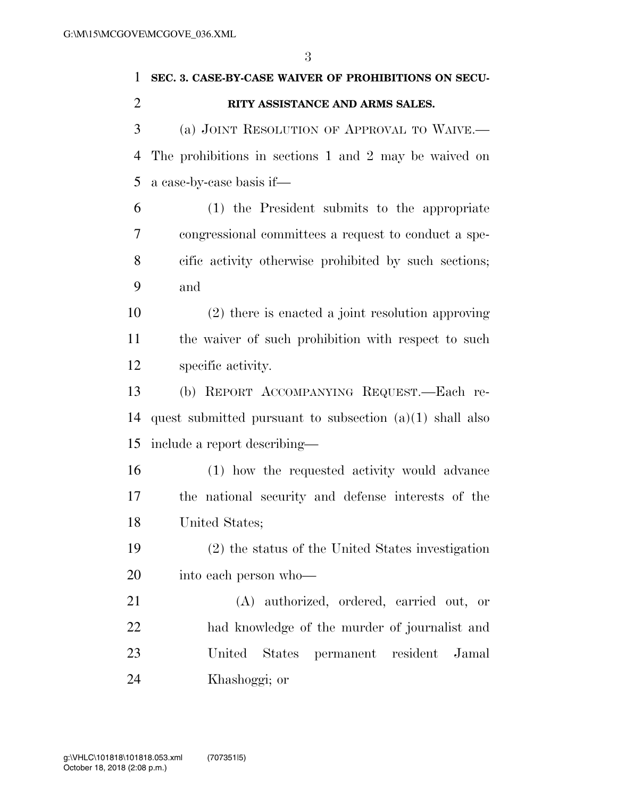## **SEC. 3. CASE-BY-CASE WAIVER OF PROHIBITIONS ON SECU-**

 (a) JOINT RESOLUTION OF APPROVAL TO WAIVE.— The prohibitions in sections 1 and 2 may be waived on a case-by-case basis if—

 (1) the President submits to the appropriate congressional committees a request to conduct a spe- cific activity otherwise prohibited by such sections; and

 (2) there is enacted a joint resolution approving the waiver of such prohibition with respect to such specific activity.

 (b) REPORT ACCOMPANYING REQUEST.—Each re- quest submitted pursuant to subsection (a)(1) shall also include a report describing—

 (1) how the requested activity would advance the national security and defense interests of the United States;

 (2) the status of the United States investigation into each person who—

 (A) authorized, ordered, carried out, or had knowledge of the murder of journalist and United States permanent resident Jamal Khashoggi; or